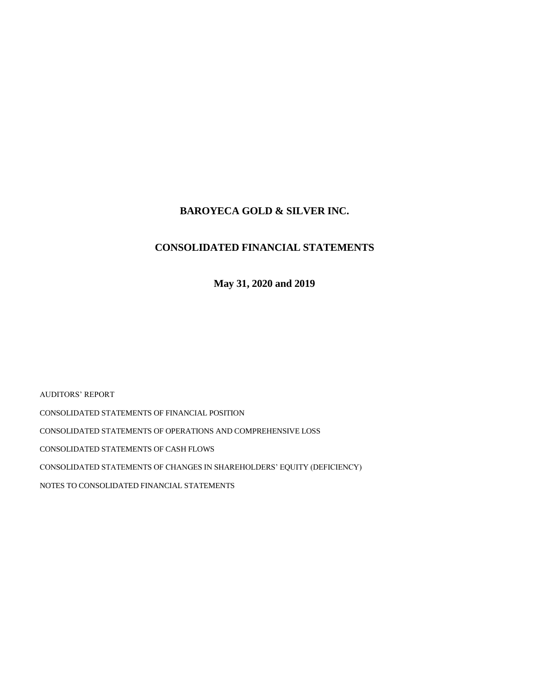## **BAROYECA GOLD & SILVER INC.**

## **CONSOLIDATED FINANCIAL STATEMENTS**

**May 31, 2020 and 2019**

AUDITORS' REPORT CONSOLIDATED STATEMENTS OF FINANCIAL POSITION CONSOLIDATED STATEMENTS OF OPERATIONS AND COMPREHENSIVE LOSS CONSOLIDATED STATEMENTS OF CASH FLOWS CONSOLIDATED STATEMENTS OF CHANGES IN SHAREHOLDERS' EQUITY (DEFICIENCY) NOTES TO CONSOLIDATED FINANCIAL STATEMENTS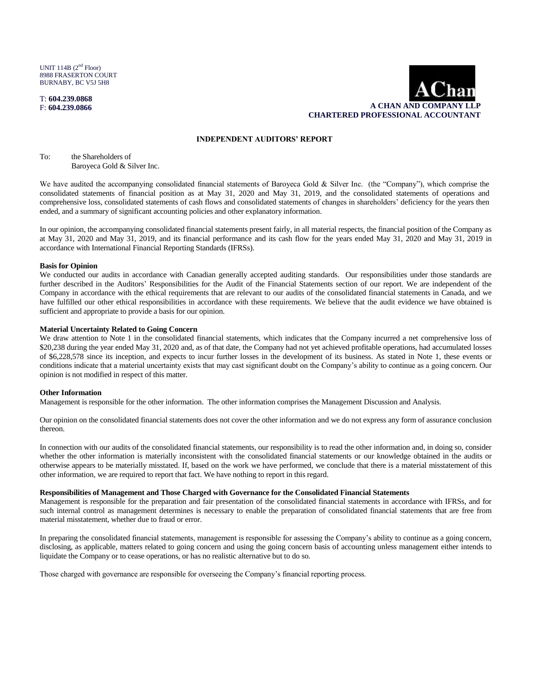UNIT 114B  $(2<sup>nd</sup>$  Floor) 8988 FRASERTON COURT BURNABY, BC V5J 5H8

T: **604.239.0868** F: **604.239.0866**



#### **INDEPENDENT AUDITORS' REPORT**

To: the Shareholders of Baroyeca Gold & Silver Inc.

We have audited the accompanying consolidated financial statements of Baroyeca Gold & Silver Inc. (the "Company"), which comprise the consolidated statements of financial position as at May 31, 2020 and May 31, 2019, and the consolidated statements of operations and comprehensive loss, consolidated statements of cash flows and consolidated statements of changes in shareholders' deficiency for the years then ended, and a summary of significant accounting policies and other explanatory information.

In our opinion, the accompanying consolidated financial statements present fairly, in all material respects, the financial position of the Company as at May 31, 2020 and May 31, 2019, and its financial performance and its cash flow for the years ended May 31, 2020 and May 31, 2019 in accordance with International Financial Reporting Standards (IFRSs).

#### **Basis for Opinion**

We conducted our audits in accordance with Canadian generally accepted auditing standards. Our responsibilities under those standards are further described in the Auditors' Responsibilities for the Audit of the Financial Statements section of our report. We are independent of the Company in accordance with the ethical requirements that are relevant to our audits of the consolidated financial statements in Canada, and we have fulfilled our other ethical responsibilities in accordance with these requirements. We believe that the audit evidence we have obtained is sufficient and appropriate to provide a basis for our opinion.

#### **Material Uncertainty Related to Going Concern**

We draw attention to Note 1 in the consolidated financial statements, which indicates that the Company incurred a net comprehensive loss of \$20,238 during the year ended May 31, 2020 and, as of that date, the Company had not yet achieved profitable operations, had accumulated losses of \$6,228,578 since its inception, and expects to incur further losses in the development of its business. As stated in Note 1, these events or conditions indicate that a material uncertainty exists that may cast significant doubt on the Company's ability to continue as a going concern. Our opinion is not modified in respect of this matter.

#### **Other Information**

Management is responsible for the other information. The other information comprises the Management Discussion and Analysis.

Our opinion on the consolidated financial statements does not cover the other information and we do not express any form of assurance conclusion thereon.

In connection with our audits of the consolidated financial statements, our responsibility is to read the other information and, in doing so, consider whether the other information is materially inconsistent with the consolidated financial statements or our knowledge obtained in the audits or otherwise appears to be materially misstated. If, based on the work we have performed, we conclude that there is a material misstatement of this other information, we are required to report that fact. We have nothing to report in this regard.

#### **Responsibilities of Management and Those Charged with Governance for the Consolidated Financial Statements**

Management is responsible for the preparation and fair presentation of the consolidated financial statements in accordance with IFRSs, and for such internal control as management determines is necessary to enable the preparation of consolidated financial statements that are free from material misstatement, whether due to fraud or error.

In preparing the consolidated financial statements, management is responsible for assessing the Company's ability to continue as a going concern, disclosing, as applicable, matters related to going concern and using the going concern basis of accounting unless management either intends to liquidate the Company or to cease operations, or has no realistic alternative but to do so.

Those charged with governance are responsible for overseeing the Company's financial reporting process.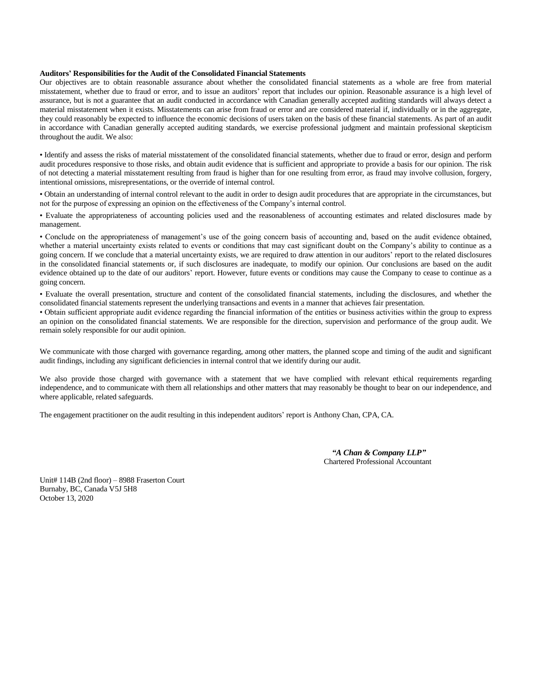#### **Auditors' Responsibilities for the Audit of the Consolidated Financial Statements**

Our objectives are to obtain reasonable assurance about whether the consolidated financial statements as a whole are free from material misstatement, whether due to fraud or error, and to issue an auditors' report that includes our opinion. Reasonable assurance is a high level of assurance, but is not a guarantee that an audit conducted in accordance with Canadian generally accepted auditing standards will always detect a material misstatement when it exists. Misstatements can arise from fraud or error and are considered material if, individually or in the aggregate, they could reasonably be expected to influence the economic decisions of users taken on the basis of these financial statements. As part of an audit in accordance with Canadian generally accepted auditing standards, we exercise professional judgment and maintain professional skepticism throughout the audit. We also:

• Identify and assess the risks of material misstatement of the consolidated financial statements, whether due to fraud or error, design and perform audit procedures responsive to those risks, and obtain audit evidence that is sufficient and appropriate to provide a basis for our opinion. The risk of not detecting a material misstatement resulting from fraud is higher than for one resulting from error, as fraud may involve collusion, forgery, intentional omissions, misrepresentations, or the override of internal control.

• Obtain an understanding of internal control relevant to the audit in order to design audit procedures that are appropriate in the circumstances, but not for the purpose of expressing an opinion on the effectiveness of the Company's internal control.

• Evaluate the appropriateness of accounting policies used and the reasonableness of accounting estimates and related disclosures made by management.

• Conclude on the appropriateness of management's use of the going concern basis of accounting and, based on the audit evidence obtained, whether a material uncertainty exists related to events or conditions that may cast significant doubt on the Company's ability to continue as a going concern. If we conclude that a material uncertainty exists, we are required to draw attention in our auditors' report to the related disclosures in the consolidated financial statements or, if such disclosures are inadequate, to modify our opinion. Our conclusions are based on the audit evidence obtained up to the date of our auditors' report. However, future events or conditions may cause the Company to cease to continue as a going concern.

• Evaluate the overall presentation, structure and content of the consolidated financial statements, including the disclosures, and whether the consolidated financial statements represent the underlying transactions and events in a manner that achieves fair presentation.

• Obtain sufficient appropriate audit evidence regarding the financial information of the entities or business activities within the group to express an opinion on the consolidated financial statements. We are responsible for the direction, supervision and performance of the group audit. We remain solely responsible for our audit opinion.

We communicate with those charged with governance regarding, among other matters, the planned scope and timing of the audit and significant audit findings, including any significant deficiencies in internal control that we identify during our audit.

We also provide those charged with governance with a statement that we have complied with relevant ethical requirements regarding independence, and to communicate with them all relationships and other matters that may reasonably be thought to bear on our independence, and where applicable, related safeguards.

The engagement practitioner on the audit resulting in this independent auditors' report is Anthony Chan, CPA, CA.

 *"A Chan & Company LLP"*  Chartered Professional Accountant

Unit# 114B (2nd floor) – 8988 Fraserton Court Burnaby, BC, Canada V5J 5H8 October 13, 2020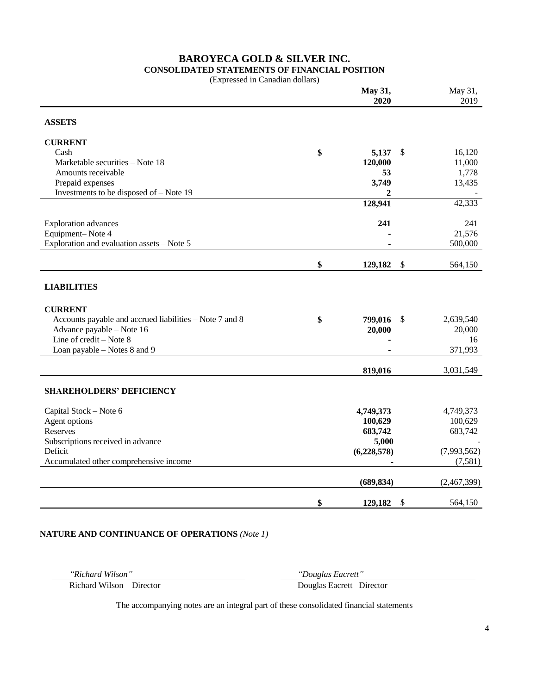# **BAROYECA GOLD & SILVER INC.**

**CONSOLIDATED STATEMENTS OF FINANCIAL POSITION**

| (Expressed in Canadian dollars) |  |  |
|---------------------------------|--|--|
|---------------------------------|--|--|

|                                                         | May 31,<br>2020           |                           | May 31,<br>2019 |
|---------------------------------------------------------|---------------------------|---------------------------|-----------------|
|                                                         |                           |                           |                 |
| <b>ASSETS</b>                                           |                           |                           |                 |
| <b>CURRENT</b>                                          |                           |                           |                 |
| Cash                                                    | \$<br>5,137               | \$                        | 16,120          |
| Marketable securities - Note 18                         | 120,000                   |                           | 11,000          |
| Amounts receivable                                      | 53                        |                           | 1,778           |
| Prepaid expenses                                        | 3,749                     |                           | 13,435          |
| Investments to be disposed of - Note 19                 | $\overline{2}$<br>128,941 |                           | 42,333          |
|                                                         |                           |                           |                 |
| <b>Exploration</b> advances                             | 241                       |                           | 241             |
| Equipment-Note 4                                        |                           |                           | 21,576          |
| Exploration and evaluation assets - Note 5              |                           |                           | 500,000         |
|                                                         | \$<br>129,182             | \$                        | 564,150         |
|                                                         |                           |                           |                 |
| <b>LIABILITIES</b>                                      |                           |                           |                 |
|                                                         |                           |                           |                 |
| <b>CURRENT</b>                                          |                           |                           |                 |
| Accounts payable and accrued liabilities – Note 7 and 8 | \$<br>799,016             | \$                        | 2,639,540       |
| Advance payable - Note 16                               | 20,000                    |                           | 20,000          |
| Line of credit - Note 8                                 |                           |                           | 16              |
| Loan payable – Notes 8 and 9                            |                           |                           | 371,993         |
|                                                         | 819,016                   |                           | 3,031,549       |
|                                                         |                           |                           |                 |
| <b>SHAREHOLDERS' DEFICIENCY</b>                         |                           |                           |                 |
|                                                         | 4,749,373                 |                           | 4,749,373       |
| Capital Stock - Note 6<br>Agent options                 | 100,629                   |                           | 100,629         |
| <b>Reserves</b>                                         | 683,742                   |                           | 683,742         |
| Subscriptions received in advance                       | 5,000                     |                           |                 |
| Deficit                                                 | (6,228,578)               |                           | (7,993,562)     |
| Accumulated other comprehensive income                  |                           |                           | (7,581)         |
|                                                         | (689, 834)                |                           |                 |
|                                                         |                           |                           | (2,467,399)     |
|                                                         | \$<br>129,182             | $\boldsymbol{\mathsf{S}}$ | 564,150         |

### **NATURE AND CONTINUANCE OF OPERATIONS** *(Note 1)*

*"Richard Wilson" "Douglas Eacrett"* Douglas Eacrett– Director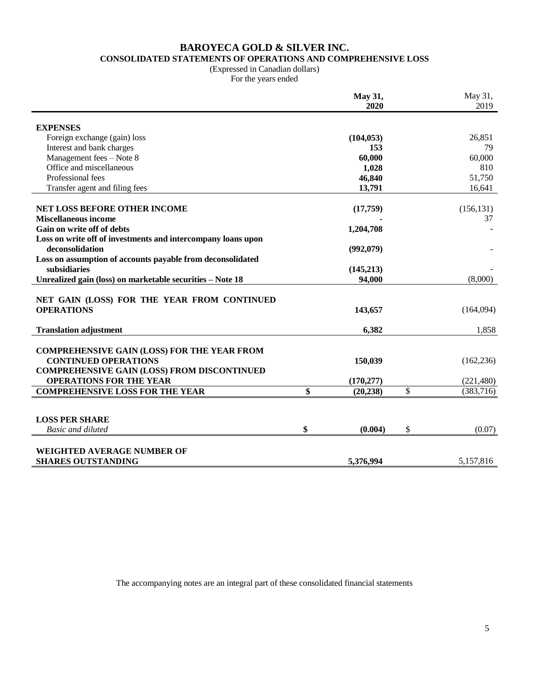### **BAROYECA GOLD & SILVER INC. CONSOLIDATED STATEMENTS OF OPERATIONS AND COMPREHENSIVE LOSS**

(Expressed in Canadian dollars)

For the years ended

|                                                              | May 31,<br>2020 | May 31,<br>2019 |
|--------------------------------------------------------------|-----------------|-----------------|
|                                                              |                 |                 |
| <b>EXPENSES</b>                                              |                 |                 |
| Foreign exchange (gain) loss                                 | (104, 053)      | 26,851          |
| Interest and bank charges                                    | 153             | 79              |
| Management fees - Note 8<br>Office and miscellaneous         | 60,000          | 60,000<br>810   |
| Professional fees                                            | 1,028<br>46,840 | 51,750          |
|                                                              | 13,791          | 16,641          |
| Transfer agent and filing fees                               |                 |                 |
| NET LOSS BEFORE OTHER INCOME                                 | (17,759)        | (156, 131)      |
| <b>Miscellaneous income</b>                                  |                 | 37              |
| Gain on write off of debts                                   | 1,204,708       |                 |
| Loss on write off of investments and intercompany loans upon |                 |                 |
| deconsolidation                                              | (992,079)       |                 |
| Loss on assumption of accounts payable from deconsolidated   |                 |                 |
| subsidiaries                                                 | (145, 213)      |                 |
| Unrealized gain (loss) on marketable securities - Note 18    | 94,000          | (8,000)         |
|                                                              |                 |                 |
| NET GAIN (LOSS) FOR THE YEAR FROM CONTINUED                  |                 |                 |
| <b>OPERATIONS</b>                                            | 143,657         | (164,094)       |
|                                                              |                 |                 |
| <b>Translation adjustment</b>                                | 6,382           | 1,858           |
|                                                              |                 |                 |
| <b>COMPREHENSIVE GAIN (LOSS) FOR THE YEAR FROM</b>           |                 |                 |
| <b>CONTINUED OPERATIONS</b>                                  | 150,039         | (162, 236)      |
| <b>COMPREHENSIVE GAIN (LOSS) FROM DISCONTINUED</b>           |                 |                 |
| <b>OPERATIONS FOR THE YEAR</b>                               | (170, 277)      | (221, 480)      |
| <b>COMPREHENSIVE LOSS FOR THE YEAR</b>                       | \$<br>(20, 238) | \$<br>(383,716) |
|                                                              |                 |                 |
| <b>LOSS PER SHARE</b>                                        |                 |                 |
| <b>Basic and diluted</b>                                     | \$<br>(0.004)   | \$<br>(0.07)    |
|                                                              |                 |                 |
| <b>WEIGHTED AVERAGE NUMBER OF</b>                            |                 |                 |
| <b>SHARES OUTSTANDING</b>                                    | 5,376,994       | 5,157,816       |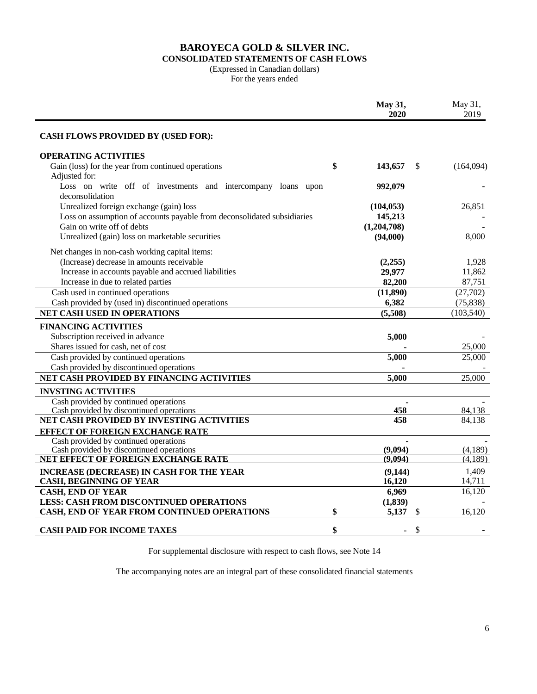### **BAROYECA GOLD & SILVER INC. CONSOLIDATED STATEMENTS OF CASH FLOWS**

#### (Expressed in Canadian dollars)

For the years ended

|                                                                                          | May 31,<br>2020     | May 31,<br>2019         |
|------------------------------------------------------------------------------------------|---------------------|-------------------------|
| <b>CASH FLOWS PROVIDED BY (USED FOR):</b>                                                |                     |                         |
| <b>OPERATING ACTIVITIES</b>                                                              |                     |                         |
| Gain (loss) for the year from continued operations<br>Adjusted for:                      | \$<br>\$<br>143,657 | (164,094)               |
| Loss on write off of investments and intercompany loans upon<br>deconsolidation          | 992,079             |                         |
| Unrealized foreign exchange (gain) loss                                                  | (104, 053)          | 26,851                  |
| Loss on assumption of accounts payable from deconsolidated subsidiaries                  | 145,213             |                         |
| Gain on write off of debts                                                               | (1,204,708)         |                         |
| Unrealized (gain) loss on marketable securities                                          | (94,000)            | 8,000                   |
| Net changes in non-cash working capital items:                                           |                     |                         |
| (Increase) decrease in amounts receivable                                                | (2,255)             | 1,928                   |
| Increase in accounts payable and accrued liabilities                                     | 29,977              | 11,862                  |
| Increase in due to related parties                                                       | 82,200              | 87,751                  |
| Cash used in continued operations                                                        | (11,890)            | (27,702)                |
| Cash provided by (used in) discontinued operations<br><b>NET CASH USED IN OPERATIONS</b> | 6,382<br>(5,508)    | (75, 838)<br>(103, 540) |
|                                                                                          |                     |                         |
| <b>FINANCING ACTIVITIES</b>                                                              |                     |                         |
| Subscription received in advance                                                         | 5,000               |                         |
| Shares issued for cash, net of cost<br>Cash provided by continued operations             |                     | 25,000                  |
| Cash provided by discontinued operations                                                 | 5,000               | 25,000                  |
| NET CASH PROVIDED BY FINANCING ACTIVITIES                                                | 5,000               | 25,000                  |
|                                                                                          |                     |                         |
| <b>INVSTING ACTIVITIES</b>                                                               |                     |                         |
| Cash provided by continued operations<br>Cash provided by discontinued operations        | 458                 | 84,138                  |
| NET CASH PROVIDED BY INVESTING ACTIVITIES                                                | 458                 | 84.138                  |
| <b>EFFECT OF FOREIGN EXCHANGE RATE</b>                                                   |                     |                         |
| Cash provided by continued operations                                                    |                     |                         |
| Cash provided by discontinued operations                                                 | (9,094)             | (4,189)                 |
| NET EFFECT OF FOREIGN EXCHANGE RATE                                                      | (9,094)             | (4,189)                 |
| <b>INCREASE (DECREASE) IN CASH FOR THE YEAR</b>                                          | (9,144)             | 1,409                   |
| <b>CASH, BEGINNING OF YEAR</b>                                                           | 16,120              | 14,711                  |
| <b>CASH, END OF YEAR</b>                                                                 | 6,969               | 16,120                  |
| <b>LESS: CASH FROM DISCONTINUED OPERATIONS</b>                                           | (1, 839)            |                         |
| CASH, END OF YEAR FROM CONTINUED OPERATIONS                                              | \$<br>5,137<br>S    | 16,120                  |
| <b>CASH PAID FOR INCOME TAXES</b>                                                        | \$<br>\$            |                         |

For supplemental disclosure with respect to cash flows, see Note 14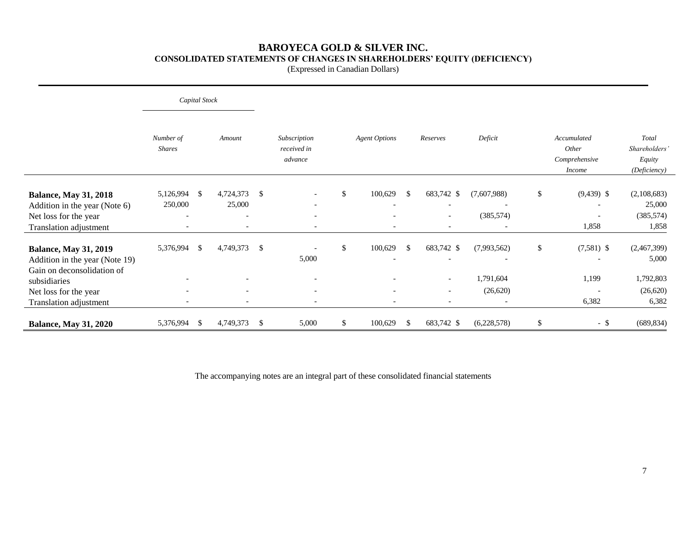### **BAROYECA GOLD & SILVER INC. CONSOLIDATED STATEMENTS OF CHANGES IN SHAREHOLDERS' EQUITY (DEFICIENCY)**

(Expressed in Canadian Dollars)

|                                                                                                                                                                 |                                                  | Capital Stock |                                       |                                                                     |                      |               |                                                                                                |                                                                   |                                                                                              |                                                        |
|-----------------------------------------------------------------------------------------------------------------------------------------------------------------|--------------------------------------------------|---------------|---------------------------------------|---------------------------------------------------------------------|----------------------|---------------|------------------------------------------------------------------------------------------------|-------------------------------------------------------------------|----------------------------------------------------------------------------------------------|--------------------------------------------------------|
|                                                                                                                                                                 | Number of<br><b>Shares</b>                       |               | Amount                                | Subscription<br>received in<br>advance                              | <b>Agent Options</b> |               | Reserves                                                                                       | Deficit                                                           | Accumulated<br>Other<br>Comprehensive<br><b>Income</b>                                       | Total<br><b>Shareholders</b><br>Equity<br>(Deficiency) |
| <b>Balance, May 31, 2018</b><br>Addition in the year (Note 6)<br>Net loss for the year<br>Translation adjustment                                                | 5,126,994<br>250,000<br>$\overline{\phantom{a}}$ | -\$           | 4,724,373<br>25,000                   | \$<br>$\overline{\phantom{a}}$<br>$\overline{\phantom{a}}$          | \$<br>100,629        | <sup>\$</sup> | 683,742 \$<br>$\overline{\phantom{0}}$<br>$\overline{\phantom{a}}$<br>$\overline{\phantom{a}}$ | (7,607,988)<br>$\overline{\phantom{a}}$<br>(385, 574)             | \$<br>$(9,439)$ \$<br>$\overline{\phantom{a}}$<br>$\overline{\phantom{a}}$<br>1,858          | (2,108,683)<br>25,000<br>(385, 574)<br>1,858           |
| <b>Balance, May 31, 2019</b><br>Addition in the year (Note 19)<br>Gain on deconsolidation of<br>subsidiaries<br>Net loss for the year<br>Translation adjustment | 5,376,994<br>$\overline{\phantom{a}}$            | $\mathbb{S}$  | 4,749,373<br>$\overline{\phantom{a}}$ | \$<br>5,000<br>$\overline{\phantom{0}}$<br>$\overline{\phantom{a}}$ | \$<br>100,629        | \$            | 683,742 \$<br>$\overline{\phantom{a}}$<br>$\overline{\phantom{a}}$<br>$\overline{\phantom{a}}$ | (7,993,562)<br>1,791,604<br>(26, 620)<br>$\overline{\phantom{a}}$ | \$<br>$(7,581)$ \$<br>$\overline{\phantom{a}}$<br>1,199<br>$\overline{\phantom{a}}$<br>6,382 | (2,467,399)<br>5,000<br>1,792,803<br>(26,620)<br>6,382 |
| <b>Balance, May 31, 2020</b>                                                                                                                                    | 5,376,994                                        | \$            | 4,749,373                             | \$<br>5,000                                                         | \$<br>100,629        | \$            | 683,742 \$                                                                                     | (6,228,578)                                                       | \$<br>$-$ \$                                                                                 | (689, 834)                                             |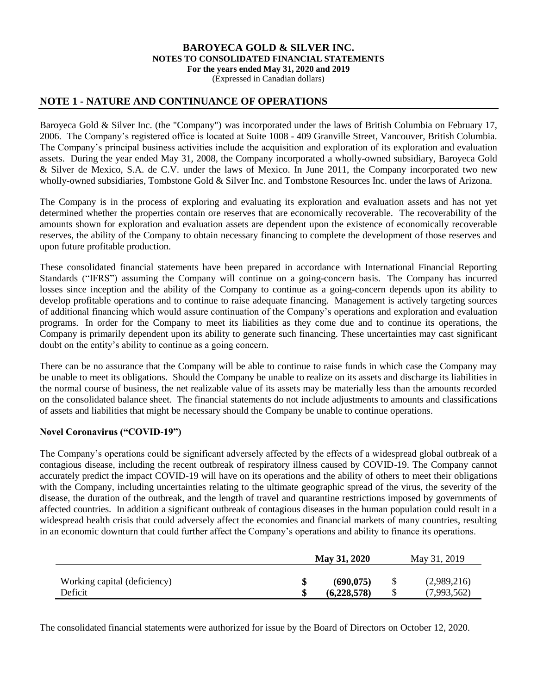(Expressed in Canadian dollars)

### **NOTE 1 - NATURE AND CONTINUANCE OF OPERATIONS**

Baroyeca Gold & Silver Inc. (the "Company") was incorporated under the laws of British Columbia on February 17, 2006. The Company's registered office is located at Suite 1008 - 409 Granville Street, Vancouver, British Columbia. The Company's principal business activities include the acquisition and exploration of its exploration and evaluation assets. During the year ended May 31, 2008, the Company incorporated a wholly-owned subsidiary, Baroyeca Gold & Silver de Mexico, S.A. de C.V. under the laws of Mexico. In June 2011, the Company incorporated two new wholly-owned subsidiaries, Tombstone Gold & Silver Inc. and Tombstone Resources Inc. under the laws of Arizona.

The Company is in the process of exploring and evaluating its exploration and evaluation assets and has not yet determined whether the properties contain ore reserves that are economically recoverable. The recoverability of the amounts shown for exploration and evaluation assets are dependent upon the existence of economically recoverable reserves, the ability of the Company to obtain necessary financing to complete the development of those reserves and upon future profitable production.

These consolidated financial statements have been prepared in accordance with International Financial Reporting Standards ("IFRS") assuming the Company will continue on a going-concern basis. The Company has incurred losses since inception and the ability of the Company to continue as a going-concern depends upon its ability to develop profitable operations and to continue to raise adequate financing. Management is actively targeting sources of additional financing which would assure continuation of the Company's operations and exploration and evaluation programs. In order for the Company to meet its liabilities as they come due and to continue its operations, the Company is primarily dependent upon its ability to generate such financing. These uncertainties may cast significant doubt on the entity's ability to continue as a going concern.

There can be no assurance that the Company will be able to continue to raise funds in which case the Company may be unable to meet its obligations. Should the Company be unable to realize on its assets and discharge its liabilities in the normal course of business, the net realizable value of its assets may be materially less than the amounts recorded on the consolidated balance sheet. The financial statements do not include adjustments to amounts and classifications of assets and liabilities that might be necessary should the Company be unable to continue operations.

### **Novel Coronavirus ("COVID-19")**

The Company's operations could be significant adversely affected by the effects of a widespread global outbreak of a contagious disease, including the recent outbreak of respiratory illness caused by COVID-19. The Company cannot accurately predict the impact COVID-19 will have on its operations and the ability of others to meet their obligations with the Company, including uncertainties relating to the ultimate geographic spread of the virus, the severity of the disease, the duration of the outbreak, and the length of travel and quarantine restrictions imposed by governments of affected countries. In addition a significant outbreak of contagious diseases in the human population could result in a widespread health crisis that could adversely affect the economies and financial markets of many countries, resulting in an economic downturn that could further affect the Company's operations and ability to finance its operations.

|                                         | May 31, 2020              |              | May 31, 2019               |
|-----------------------------------------|---------------------------|--------------|----------------------------|
| Working capital (deficiency)<br>Deficit | (690, 075)<br>(6,228,578) | <sup>S</sup> | (2,989,216)<br>(7,993,562) |

The consolidated financial statements were authorized for issue by the Board of Directors on October 12, 2020.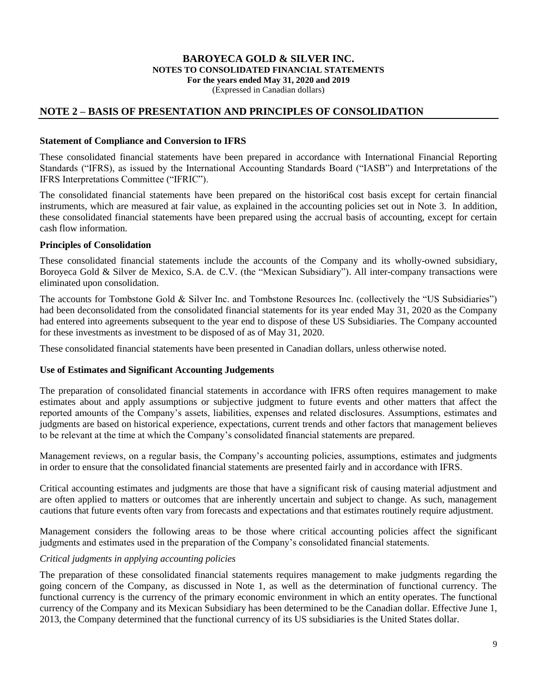#### **BAROYECA GOLD & SILVER INC. NOTES TO CONSOLIDATED FINANCIAL STATEMENTS For the years ended May 31, 2020 and 2019** (Expressed in Canadian dollars)

### **NOTE 2 – BASIS OF PRESENTATION AND PRINCIPLES OF CONSOLIDATION**

#### **Statement of Compliance and Conversion to IFRS**

These consolidated financial statements have been prepared in accordance with International Financial Reporting Standards ("IFRS), as issued by the International Accounting Standards Board ("IASB") and Interpretations of the IFRS Interpretations Committee ("IFRIC").

The consolidated financial statements have been prepared on the histori6cal cost basis except for certain financial instruments, which are measured at fair value, as explained in the accounting policies set out in Note 3. In addition, these consolidated financial statements have been prepared using the accrual basis of accounting, except for certain cash flow information.

#### **Principles of Consolidation**

These consolidated financial statements include the accounts of the Company and its wholly-owned subsidiary, Boroyeca Gold & Silver de Mexico, S.A. de C.V. (the "Mexican Subsidiary"). All inter-company transactions were eliminated upon consolidation.

The accounts for Tombstone Gold & Silver Inc. and Tombstone Resources Inc. (collectively the "US Subsidiaries") had been deconsolidated from the consolidated financial statements for its year ended May 31, 2020 as the Company had entered into agreements subsequent to the year end to dispose of these US Subsidiaries. The Company accounted for these investments as investment to be disposed of as of May 31, 2020.

These consolidated financial statements have been presented in Canadian dollars, unless otherwise noted.

### **Use of Estimates and Significant Accounting Judgements**

The preparation of consolidated financial statements in accordance with IFRS often requires management to make estimates about and apply assumptions or subjective judgment to future events and other matters that affect the reported amounts of the Company's assets, liabilities, expenses and related disclosures. Assumptions, estimates and judgments are based on historical experience, expectations, current trends and other factors that management believes to be relevant at the time at which the Company's consolidated financial statements are prepared.

Management reviews, on a regular basis, the Company's accounting policies, assumptions, estimates and judgments in order to ensure that the consolidated financial statements are presented fairly and in accordance with IFRS.

Critical accounting estimates and judgments are those that have a significant risk of causing material adjustment and are often applied to matters or outcomes that are inherently uncertain and subject to change. As such, management cautions that future events often vary from forecasts and expectations and that estimates routinely require adjustment.

Management considers the following areas to be those where critical accounting policies affect the significant judgments and estimates used in the preparation of the Company's consolidated financial statements.

### *Critical judgments in applying accounting policies*

The preparation of these consolidated financial statements requires management to make judgments regarding the going concern of the Company, as discussed in Note 1, as well as the determination of functional currency. The functional currency is the currency of the primary economic environment in which an entity operates. The functional currency of the Company and its Mexican Subsidiary has been determined to be the Canadian dollar. Effective June 1, 2013, the Company determined that the functional currency of its US subsidiaries is the United States dollar.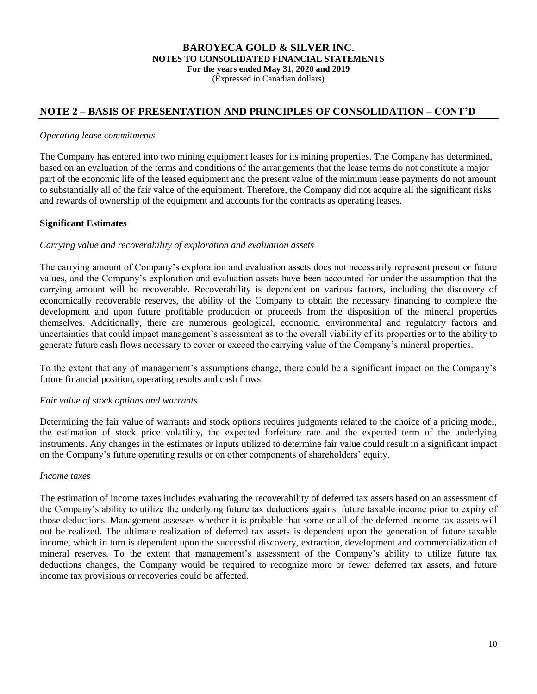(Expressed in Canadian dollars)

## **NOTE 2 – BASIS OF PRESENTATION AND PRINCIPLES OF CONSOLIDATION – CONT'D**

#### *Operating lease commitments*

The Company has entered into two mining equipment leases for its mining properties. The Company has determined, based on an evaluation of the terms and conditions of the arrangements that the lease terms do not constitute a major part of the economic life of the leased equipment and the present value of the minimum lease payments do not amount to substantially all of the fair value of the equipment. Therefore, the Company did not acquire all the significant risks and rewards of ownership of the equipment and accounts for the contracts as operating leases.

### **Significant Estimates**

#### *Carrying value and recoverability of exploration and evaluation assets*

The carrying amount of Company's exploration and evaluation assets does not necessarily represent present or future values, and the Company's exploration and evaluation assets have been accounted for under the assumption that the carrying amount will be recoverable. Recoverability is dependent on various factors, including the discovery of economically recoverable reserves, the ability of the Company to obtain the necessary financing to complete the development and upon future profitable production or proceeds from the disposition of the mineral properties themselves. Additionally, there are numerous geological, economic, environmental and regulatory factors and uncertainties that could impact management's assessment as to the overall viability of its properties or to the ability to generate future cash flows necessary to cover or exceed the carrying value of the Company's mineral properties.

To the extent that any of management's assumptions change, there could be a significant impact on the Company's future financial position, operating results and cash flows.

#### *Fair value of stock options and warrants*

Determining the fair value of warrants and stock options requires judgments related to the choice of a pricing model, the estimation of stock price volatility, the expected forfeiture rate and the expected term of the underlying instruments. Any changes in the estimates or inputs utilized to determine fair value could result in a significant impact on the Company's future operating results or on other components of shareholders' equity.

#### *Income taxes*

The estimation of income taxes includes evaluating the recoverability of deferred tax assets based on an assessment of the Company's ability to utilize the underlying future tax deductions against future taxable income prior to expiry of those deductions. Management assesses whether it is probable that some or all of the deferred income tax assets will not be realized. The ultimate realization of deferred tax assets is dependent upon the generation of future taxable income, which in turn is dependent upon the successful discovery, extraction, development and commercialization of mineral reserves. To the extent that management's assessment of the Company's ability to utilize future tax deductions changes, the Company would be required to recognize more or fewer deferred tax assets, and future income tax provisions or recoveries could be affected.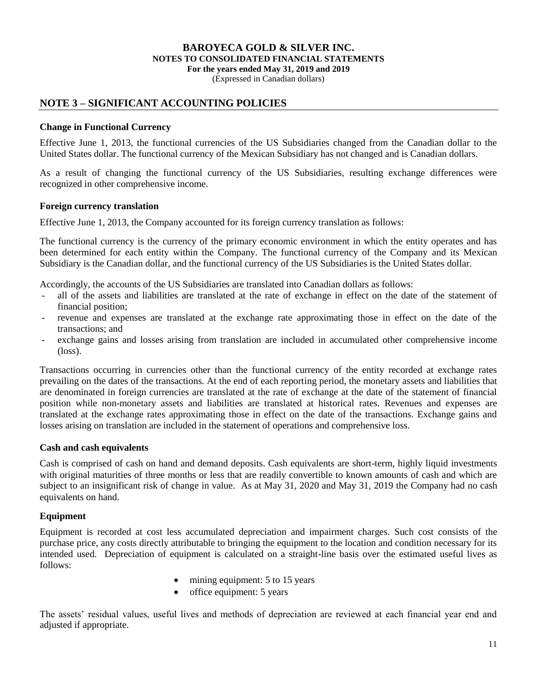(Expressed in Canadian dollars)

### **NOTE 3 – SIGNIFICANT ACCOUNTING POLICIES**

#### **Change in Functional Currency**

Effective June 1, 2013, the functional currencies of the US Subsidiaries changed from the Canadian dollar to the United States dollar. The functional currency of the Mexican Subsidiary has not changed and is Canadian dollars.

As a result of changing the functional currency of the US Subsidiaries, resulting exchange differences were recognized in other comprehensive income.

#### **Foreign currency translation**

Effective June 1, 2013, the Company accounted for its foreign currency translation as follows:

The functional currency is the currency of the primary economic environment in which the entity operates and has been determined for each entity within the Company. The functional currency of the Company and its Mexican Subsidiary is the Canadian dollar, and the functional currency of the US Subsidiaries is the United States dollar.

Accordingly, the accounts of the US Subsidiaries are translated into Canadian dollars as follows:

- all of the assets and liabilities are translated at the rate of exchange in effect on the date of the statement of financial position;
- revenue and expenses are translated at the exchange rate approximating those in effect on the date of the transactions; and
- exchange gains and losses arising from translation are included in accumulated other comprehensive income (loss).

Transactions occurring in currencies other than the functional currency of the entity recorded at exchange rates prevailing on the dates of the transactions. At the end of each reporting period, the monetary assets and liabilities that are denominated in foreign currencies are translated at the rate of exchange at the date of the statement of financial position while non-monetary assets and liabilities are translated at historical rates. Revenues and expenses are translated at the exchange rates approximating those in effect on the date of the transactions. Exchange gains and losses arising on translation are included in the statement of operations and comprehensive loss.

### **Cash and cash equivalents**

Cash is comprised of cash on hand and demand deposits. Cash equivalents are short-term, highly liquid investments with original maturities of three months or less that are readily convertible to known amounts of cash and which are subject to an insignificant risk of change in value. As at May 31, 2020 and May 31, 2019 the Company had no cash equivalents on hand.

### **Equipment**

Equipment is recorded at cost less accumulated depreciation and impairment charges. Such cost consists of the purchase price, any costs directly attributable to bringing the equipment to the location and condition necessary for its intended used. Depreciation of equipment is calculated on a straight-line basis over the estimated useful lives as follows:

- mining equipment: 5 to 15 years
- $\bullet$  office equipment: 5 years

The assets' residual values, useful lives and methods of depreciation are reviewed at each financial year end and adjusted if appropriate.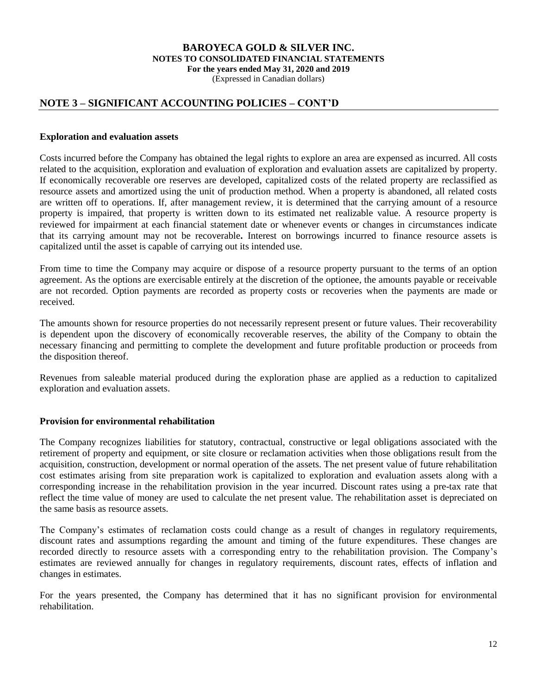(Expressed in Canadian dollars)

### **NOTE 3 – SIGNIFICANT ACCOUNTING POLICIES – CONT'D**

#### **Exploration and evaluation assets**

Costs incurred before the Company has obtained the legal rights to explore an area are expensed as incurred. All costs related to the acquisition, exploration and evaluation of exploration and evaluation assets are capitalized by property. If economically recoverable ore reserves are developed, capitalized costs of the related property are reclassified as resource assets and amortized using the unit of production method. When a property is abandoned, all related costs are written off to operations. If, after management review, it is determined that the carrying amount of a resource property is impaired, that property is written down to its estimated net realizable value. A resource property is reviewed for impairment at each financial statement date or whenever events or changes in circumstances indicate that its carrying amount may not be recoverable**.** Interest on borrowings incurred to finance resource assets is capitalized until the asset is capable of carrying out its intended use.

From time to time the Company may acquire or dispose of a resource property pursuant to the terms of an option agreement. As the options are exercisable entirely at the discretion of the optionee, the amounts payable or receivable are not recorded. Option payments are recorded as property costs or recoveries when the payments are made or received.

The amounts shown for resource properties do not necessarily represent present or future values. Their recoverability is dependent upon the discovery of economically recoverable reserves, the ability of the Company to obtain the necessary financing and permitting to complete the development and future profitable production or proceeds from the disposition thereof.

Revenues from saleable material produced during the exploration phase are applied as a reduction to capitalized exploration and evaluation assets.

### **Provision for environmental rehabilitation**

The Company recognizes liabilities for statutory, contractual, constructive or legal obligations associated with the retirement of property and equipment, or site closure or reclamation activities when those obligations result from the acquisition, construction, development or normal operation of the assets. The net present value of future rehabilitation cost estimates arising from site preparation work is capitalized to exploration and evaluation assets along with a corresponding increase in the rehabilitation provision in the year incurred. Discount rates using a pre-tax rate that reflect the time value of money are used to calculate the net present value. The rehabilitation asset is depreciated on the same basis as resource assets.

The Company's estimates of reclamation costs could change as a result of changes in regulatory requirements, discount rates and assumptions regarding the amount and timing of the future expenditures. These changes are recorded directly to resource assets with a corresponding entry to the rehabilitation provision. The Company's estimates are reviewed annually for changes in regulatory requirements, discount rates, effects of inflation and changes in estimates.

For the years presented, the Company has determined that it has no significant provision for environmental rehabilitation.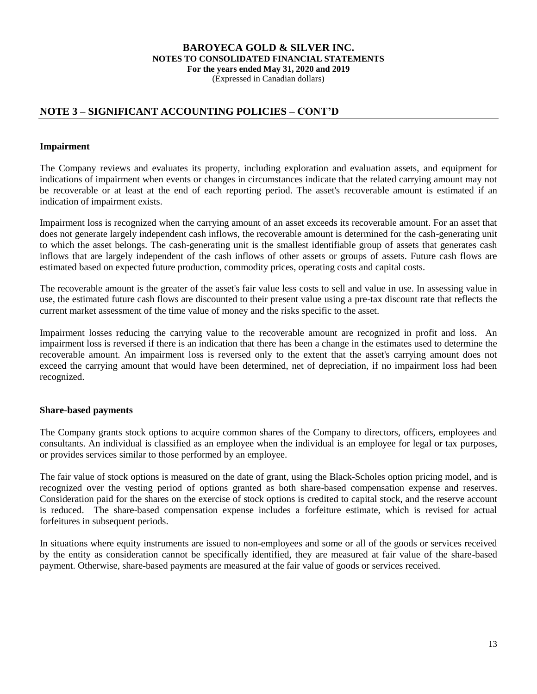(Expressed in Canadian dollars)

## **NOTE 3 – SIGNIFICANT ACCOUNTING POLICIES – CONT'D**

#### **Impairment**

The Company reviews and evaluates its property, including exploration and evaluation assets, and equipment for indications of impairment when events or changes in circumstances indicate that the related carrying amount may not be recoverable or at least at the end of each reporting period. The asset's recoverable amount is estimated if an indication of impairment exists.

Impairment loss is recognized when the carrying amount of an asset exceeds its recoverable amount. For an asset that does not generate largely independent cash inflows, the recoverable amount is determined for the cash-generating unit to which the asset belongs. The cash-generating unit is the smallest identifiable group of assets that generates cash inflows that are largely independent of the cash inflows of other assets or groups of assets. Future cash flows are estimated based on expected future production, commodity prices, operating costs and capital costs.

The recoverable amount is the greater of the asset's fair value less costs to sell and value in use. In assessing value in use, the estimated future cash flows are discounted to their present value using a pre-tax discount rate that reflects the current market assessment of the time value of money and the risks specific to the asset.

Impairment losses reducing the carrying value to the recoverable amount are recognized in profit and loss. An impairment loss is reversed if there is an indication that there has been a change in the estimates used to determine the recoverable amount. An impairment loss is reversed only to the extent that the asset's carrying amount does not exceed the carrying amount that would have been determined, net of depreciation, if no impairment loss had been recognized.

### **Share-based payments**

The Company grants stock options to acquire common shares of the Company to directors, officers, employees and consultants. An individual is classified as an employee when the individual is an employee for legal or tax purposes, or provides services similar to those performed by an employee.

The fair value of stock options is measured on the date of grant, using the Black-Scholes option pricing model, and is recognized over the vesting period of options granted as both share-based compensation expense and reserves. Consideration paid for the shares on the exercise of stock options is credited to capital stock, and the reserve account is reduced. The share-based compensation expense includes a forfeiture estimate, which is revised for actual forfeitures in subsequent periods.

In situations where equity instruments are issued to non-employees and some or all of the goods or services received by the entity as consideration cannot be specifically identified, they are measured at fair value of the share-based payment. Otherwise, share-based payments are measured at the fair value of goods or services received.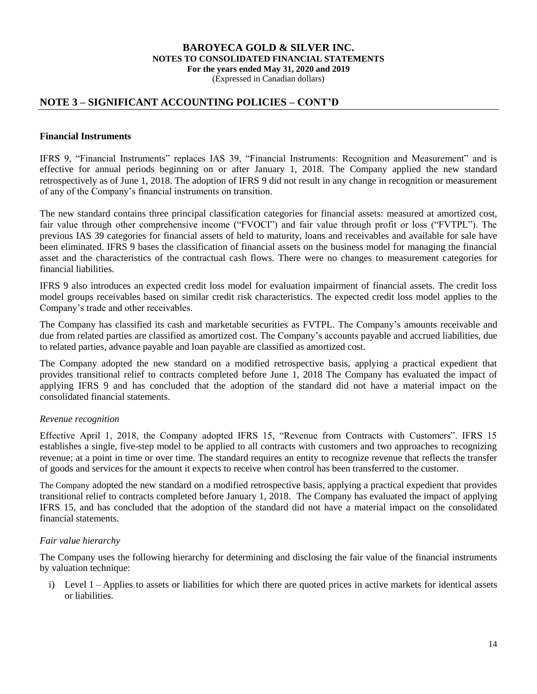(Expressed in Canadian dollars)

### **NOTE 3 – SIGNIFICANT ACCOUNTING POLICIES – CONT'D**

#### **Financial Instruments**

IFRS 9, "Financial Instruments" replaces IAS 39, "Financial Instruments: Recognition and Measurement" and is effective for annual periods beginning on or after January 1, 2018. The Company applied the new standard retrospectively as of June 1, 2018. The adoption of IFRS 9 did not result in any change in recognition or measurement of any of the Company's financial instruments on transition.

The new standard contains three principal classification categories for financial assets: measured at amortized cost, fair value through other comprehensive income ("FVOCI") and fair value through profit or loss ("FVTPL"). The previous IAS 39 categories for financial assets of held to maturity, loans and receivables and available for sale have been eliminated. IFRS 9 bases the classification of financial assets on the business model for managing the financial asset and the characteristics of the contractual cash flows. There were no changes to measurement categories for financial liabilities.

IFRS 9 also introduces an expected credit loss model for evaluation impairment of financial assets. The credit loss model groups receivables based on similar credit risk characteristics. The expected credit loss model applies to the Company's trade and other receivables.

The Company has classified its cash and marketable securities as FVTPL. The Company's amounts receivable and due from related parties are classified as amortized cost. The Company's accounts payable and accrued liabilities, due to related parties, advance payable and loan payable are classified as amortized cost.

The Company adopted the new standard on a modified retrospective basis, applying a practical expedient that provides transitional relief to contracts completed before June 1, 2018 The Company has evaluated the impact of applying IFRS 9 and has concluded that the adoption of the standard did not have a material impact on the consolidated financial statements.

### *Revenue recognition*

Effective April 1, 2018, the Company adopted IFRS 15, "Revenue from Contracts with Customers". IFRS 15 establishes a single, five-step model to be applied to all contracts with customers and two approaches to recognizing revenue; at a point in time or over time. The standard requires an entity to recognize revenue that reflects the transfer of goods and services for the amount it expects to receive when control has been transferred to the customer.

The Company adopted the new standard on a modified retrospective basis, applying a practical expedient that provides transitional relief to contracts completed before January 1, 2018. The Company has evaluated the impact of applying IFRS 15, and has concluded that the adoption of the standard did not have a material impact on the consolidated financial statements.

### *Fair value hierarchy*

The Company uses the following hierarchy for determining and disclosing the fair value of the financial instruments by valuation technique:

i) Level 1 – Applies to assets or liabilities for which there are quoted prices in active markets for identical assets or liabilities.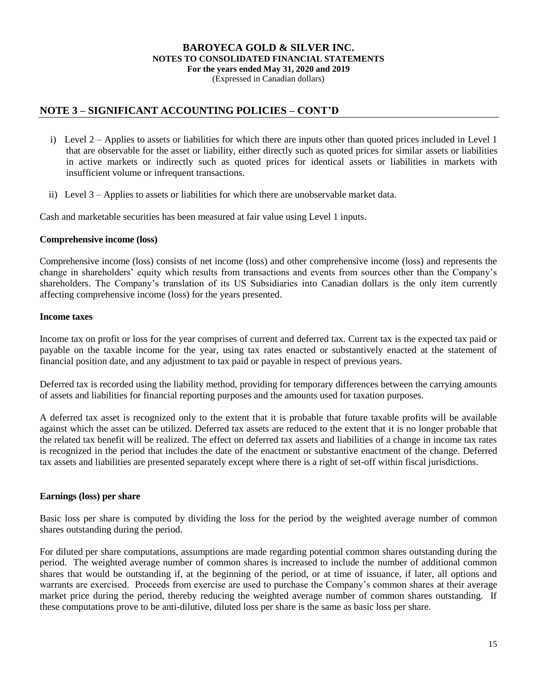(Expressed in Canadian dollars)

### **NOTE 3 – SIGNIFICANT ACCOUNTING POLICIES – CONT'D**

- i) Level 2 Applies to assets or liabilities for which there are inputs other than quoted prices included in Level 1 that are observable for the asset or liability, either directly such as quoted prices for similar assets or liabilities in active markets or indirectly such as quoted prices for identical assets or liabilities in markets with insufficient volume or infrequent transactions.
- ii) Level 3 Applies to assets or liabilities for which there are unobservable market data.

Cash and marketable securities has been measured at fair value using Level 1 inputs.

#### **Comprehensive income (loss)**

Comprehensive income (loss) consists of net income (loss) and other comprehensive income (loss) and represents the change in shareholders' equity which results from transactions and events from sources other than the Company's shareholders. The Company's translation of its US Subsidiaries into Canadian dollars is the only item currently affecting comprehensive income (loss) for the years presented.

#### **Income taxes**

Income tax on profit or loss for the year comprises of current and deferred tax. Current tax is the expected tax paid or payable on the taxable income for the year, using tax rates enacted or substantively enacted at the statement of financial position date, and any adjustment to tax paid or payable in respect of previous years.

Deferred tax is recorded using the liability method, providing for temporary differences between the carrying amounts of assets and liabilities for financial reporting purposes and the amounts used for taxation purposes.

A deferred tax asset is recognized only to the extent that it is probable that future taxable profits will be available against which the asset can be utilized. Deferred tax assets are reduced to the extent that it is no longer probable that the related tax benefit will be realized. The effect on deferred tax assets and liabilities of a change in income tax rates is recognized in the period that includes the date of the enactment or substantive enactment of the change. Deferred tax assets and liabilities are presented separately except where there is a right of set-off within fiscal jurisdictions.

#### **Earnings (loss) per share**

Basic loss per share is computed by dividing the loss for the period by the weighted average number of common shares outstanding during the period.

For diluted per share computations, assumptions are made regarding potential common shares outstanding during the period. The weighted average number of common shares is increased to include the number of additional common shares that would be outstanding if, at the beginning of the period, or at time of issuance, if later, all options and warrants are exercised. Proceeds from exercise are used to purchase the Company's common shares at their average market price during the period, thereby reducing the weighted average number of common shares outstanding. If these computations prove to be anti-dilutive, diluted loss per share is the same as basic loss per share.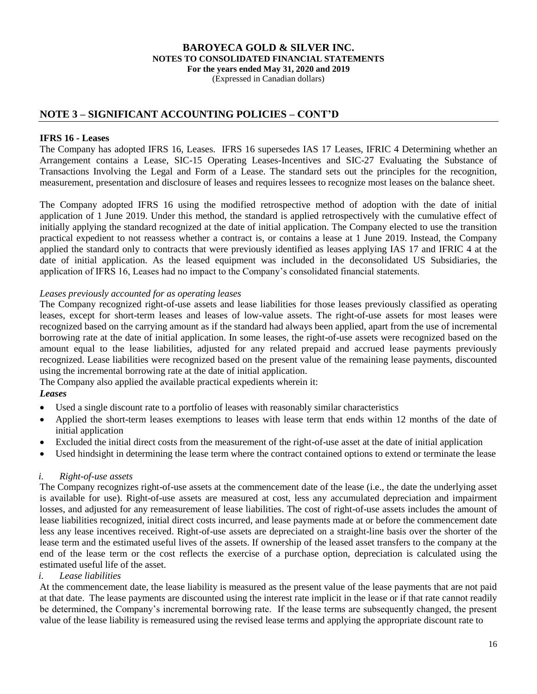(Expressed in Canadian dollars)

### **NOTE 3 – SIGNIFICANT ACCOUNTING POLICIES – CONT'D**

### **IFRS 16 - Leases**

The Company has adopted IFRS 16, Leases. IFRS 16 supersedes IAS 17 Leases, IFRIC 4 Determining whether an Arrangement contains a Lease, SIC-15 Operating Leases-Incentives and SIC-27 Evaluating the Substance of Transactions Involving the Legal and Form of a Lease. The standard sets out the principles for the recognition, measurement, presentation and disclosure of leases and requires lessees to recognize most leases on the balance sheet.

The Company adopted IFRS 16 using the modified retrospective method of adoption with the date of initial application of 1 June 2019. Under this method, the standard is applied retrospectively with the cumulative effect of initially applying the standard recognized at the date of initial application. The Company elected to use the transition practical expedient to not reassess whether a contract is, or contains a lease at 1 June 2019. Instead, the Company applied the standard only to contracts that were previously identified as leases applying IAS 17 and IFRIC 4 at the date of initial application. As the leased equipment was included in the deconsolidated US Subsidiaries, the application of IFRS 16, Leases had no impact to the Company's consolidated financial statements.

#### *Leases previously accounted for as operating leases*

The Company recognized right-of-use assets and lease liabilities for those leases previously classified as operating leases, except for short-term leases and leases of low-value assets. The right-of-use assets for most leases were recognized based on the carrying amount as if the standard had always been applied, apart from the use of incremental borrowing rate at the date of initial application. In some leases, the right-of-use assets were recognized based on the amount equal to the lease liabilities, adjusted for any related prepaid and accrued lease payments previously recognized. Lease liabilities were recognized based on the present value of the remaining lease payments, discounted using the incremental borrowing rate at the date of initial application.

The Company also applied the available practical expedients wherein it:

#### *Leases*

- Used a single discount rate to a portfolio of leases with reasonably similar characteristics
- Applied the short-term leases exemptions to leases with lease term that ends within 12 months of the date of initial application
- Excluded the initial direct costs from the measurement of the right-of-use asset at the date of initial application
- Used hindsight in determining the lease term where the contract contained options to extend or terminate the lease

#### *i. Right-of-use assets*

The Company recognizes right-of-use assets at the commencement date of the lease (i.e., the date the underlying asset is available for use). Right-of-use assets are measured at cost, less any accumulated depreciation and impairment losses, and adjusted for any remeasurement of lease liabilities. The cost of right-of-use assets includes the amount of lease liabilities recognized, initial direct costs incurred, and lease payments made at or before the commencement date less any lease incentives received. Right-of-use assets are depreciated on a straight-line basis over the shorter of the lease term and the estimated useful lives of the assets. If ownership of the leased asset transfers to the company at the end of the lease term or the cost reflects the exercise of a purchase option, depreciation is calculated using the estimated useful life of the asset.

#### *i. Lease liabilities*

At the commencement date, the lease liability is measured as the present value of the lease payments that are not paid at that date. The lease payments are discounted using the interest rate implicit in the lease or if that rate cannot readily be determined, the Company's incremental borrowing rate. If the lease terms are subsequently changed, the present value of the lease liability is remeasured using the revised lease terms and applying the appropriate discount rate to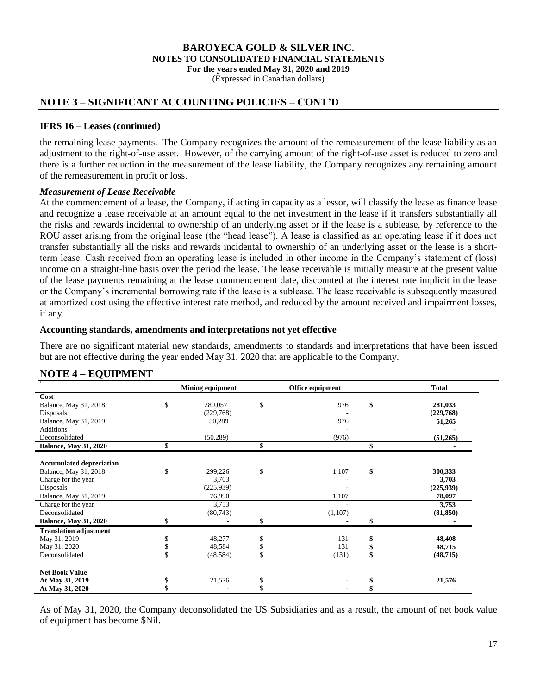(Expressed in Canadian dollars)

### **NOTE 3 – SIGNIFICANT ACCOUNTING POLICIES – CONT'D**

#### **IFRS 16 – Leases (continued)**

the remaining lease payments. The Company recognizes the amount of the remeasurement of the lease liability as an adjustment to the right-of-use asset. However, of the carrying amount of the right-of-use asset is reduced to zero and there is a further reduction in the measurement of the lease liability, the Company recognizes any remaining amount of the remeasurement in profit or loss.

#### *Measurement of Lease Receivable*

At the commencement of a lease, the Company, if acting in capacity as a lessor, will classify the lease as finance lease and recognize a lease receivable at an amount equal to the net investment in the lease if it transfers substantially all the risks and rewards incidental to ownership of an underlying asset or if the lease is a sublease, by reference to the ROU asset arising from the original lease (the "head lease"). A lease is classified as an operating lease if it does not transfer substantially all the risks and rewards incidental to ownership of an underlying asset or the lease is a shortterm lease. Cash received from an operating lease is included in other income in the Company's statement of (loss) income on a straight-line basis over the period the lease. The lease receivable is initially measure at the present value of the lease payments remaining at the lease commencement date, discounted at the interest rate implicit in the lease or the Company's incremental borrowing rate if the lease is a sublease. The lease receivable is subsequently measured at amortized cost using the effective interest rate method, and reduced by the amount received and impairment losses, if any.

#### **Accounting standards, amendments and interpretations not yet effective**

There are no significant material new standards, amendments to standards and interpretations that have been issued but are not effective during the year ended May 31, 2020 that are applicable to the Company.

### **NOTE 4 – EQUIPMENT**

|                                 | <b>Mining equipment</b> | Office equipment | <b>Total</b>  |
|---------------------------------|-------------------------|------------------|---------------|
| Cost                            |                         |                  |               |
| Balance, May 31, 2018           | \$<br>280,057           | \$<br>976        | \$<br>281,033 |
| Disposals                       | (229,768)               |                  | (229,768)     |
| Balance, May 31, 2019           | 50,289                  | 976              | 51,265        |
| <b>Additions</b>                |                         |                  |               |
| Deconsolidated                  | (50, 289)               | (976)            | (51,265)      |
| <b>Balance, May 31, 2020</b>    | \$                      | \$               | \$            |
|                                 |                         |                  |               |
| <b>Accumulated depreciation</b> |                         |                  |               |
| Balance, May 31, 2018           | \$<br>299,226           | \$<br>1,107      | \$<br>300,333 |
| Charge for the year             | 3,703                   |                  | 3,703         |
| Disposals                       | (225, 939)              |                  | (225, 939)    |
| Balance, May 31, 2019           | 76,990                  | 1,107            | 78,097        |
| Charge for the year             | 3,753                   |                  | 3,753         |
| Deconsolidated                  | (80,743)                | (1,107)          | (81, 850)     |
| <b>Balance, May 31, 2020</b>    |                         |                  |               |
| <b>Translation adjustment</b>   |                         |                  |               |
| May 31, 2019                    | 48,277                  | \$<br>131        | 48,408        |
| May 31, 2020                    | 48,584                  | 131              | 48,715        |
| Deconsolidated                  | (48, 584)               | (131)            | (48, 715)     |
|                                 |                         |                  |               |
| <b>Net Book Value</b>           |                         |                  |               |
| At May 31, 2019                 | 21,576                  | \$               | 21,576        |
| At May 31, 2020                 |                         |                  |               |

As of May 31, 2020, the Company deconsolidated the US Subsidiaries and as a result, the amount of net book value of equipment has become \$Nil.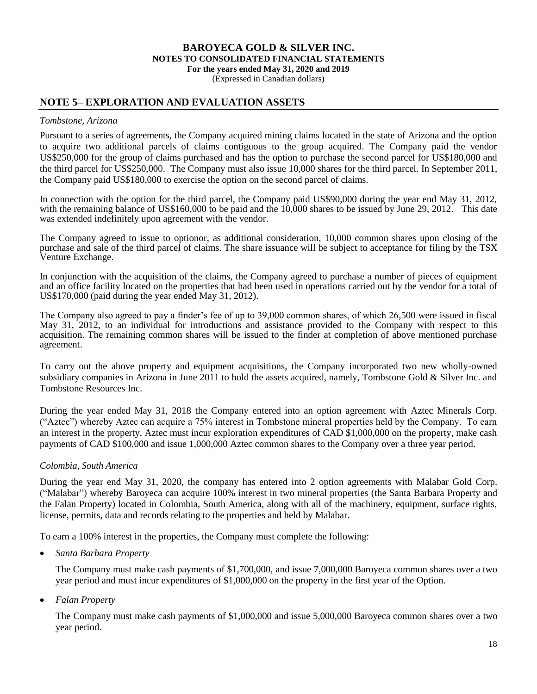(Expressed in Canadian dollars)

### **NOTE 5– EXPLORATION AND EVALUATION ASSETS**

#### *Tombstone, Arizona*

Pursuant to a series of agreements, the Company acquired mining claims located in the state of Arizona and the option to acquire two additional parcels of claims contiguous to the group acquired. The Company paid the vendor US\$250,000 for the group of claims purchased and has the option to purchase the second parcel for US\$180,000 and the third parcel for US\$250,000. The Company must also issue 10,000 shares for the third parcel. In September 2011, the Company paid US\$180,000 to exercise the option on the second parcel of claims.

In connection with the option for the third parcel, the Company paid US\$90,000 during the year end May 31, 2012, with the remaining balance of US\$160,000 to be paid and the 10,000 shares to be issued by June 29, 2012. This date was extended indefinitely upon agreement with the vendor.

The Company agreed to issue to optionor, as additional consideration, 10,000 common shares upon closing of the purchase and sale of the third parcel of claims. The share issuance will be subject to acceptance for filing by the TSX Venture Exchange.

In conjunction with the acquisition of the claims, the Company agreed to purchase a number of pieces of equipment and an office facility located on the properties that had been used in operations carried out by the vendor for a total of US\$170,000 (paid during the year ended May 31, 2012).

The Company also agreed to pay a finder's fee of up to 39,000 common shares, of which 26,500 were issued in fiscal May 31, 2012, to an individual for introductions and assistance provided to the Company with respect to this acquisition. The remaining common shares will be issued to the finder at completion of above mentioned purchase agreement.

To carry out the above property and equipment acquisitions, the Company incorporated two new wholly-owned subsidiary companies in Arizona in June 2011 to hold the assets acquired, namely, Tombstone Gold & Silver Inc. and Tombstone Resources Inc.

During the year ended May 31, 2018 the Company entered into an option agreement with Aztec Minerals Corp. ("Aztec") whereby Aztec can acquire a 75% interest in Tombstone mineral properties held by the Company. To earn an interest in the property, Aztec must incur exploration expenditures of CAD \$1,000,000 on the property, make cash payments of CAD \$100,000 and issue 1,000,000 Aztec common shares to the Company over a three year period.

#### *Colombia, South America*

During the year end May 31, 2020, the company has entered into 2 option agreements with Malabar Gold Corp. ("Malabar") whereby Baroyeca can acquire 100% interest in two mineral properties (the Santa Barbara Property and the Falan Property) located in Colombia, South America, along with all of the machinery, equipment, surface rights, license, permits, data and records relating to the properties and held by Malabar.

To earn a 100% interest in the properties, the Company must complete the following:

*Santa Barbara Property*

The Company must make cash payments of \$1,700,000, and issue 7,000,000 Baroyeca common shares over a two year period and must incur expenditures of \$1,000,000 on the property in the first year of the Option.

*Falan Property*

The Company must make cash payments of \$1,000,000 and issue 5,000,000 Baroyeca common shares over a two year period.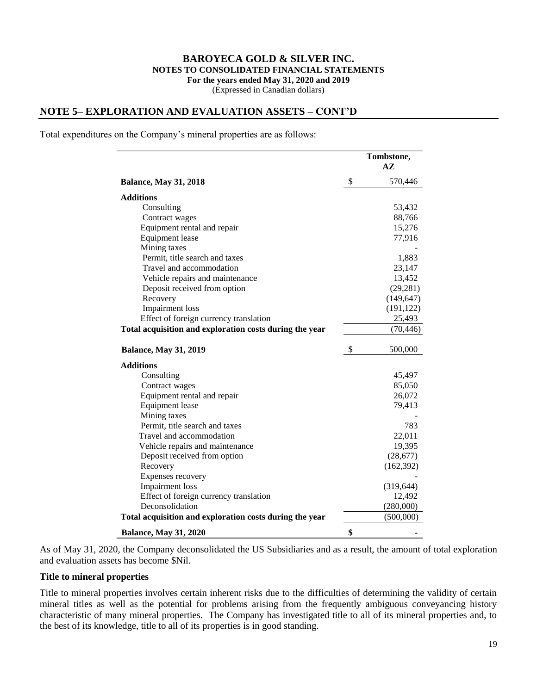#### **BAROYECA GOLD & SILVER INC. NOTES TO CONSOLIDATED FINANCIAL STATEMENTS For the years ended May 31, 2020 and 2019** (Expressed in Canadian dollars)

### **NOTE 5– EXPLORATION AND EVALUATION ASSETS – CONT'D**

Total expenditures on the Company's mineral properties are as follows:

|                                                         | Tombstone,<br>$A\mathbf{Z}$ |
|---------------------------------------------------------|-----------------------------|
| <b>Balance, May 31, 2018</b>                            | \$<br>570,446               |
| <b>Additions</b>                                        |                             |
| Consulting                                              | 53,432                      |
| Contract wages                                          | 88,766                      |
| Equipment rental and repair                             | 15,276                      |
| Equipment lease                                         | 77,916                      |
| Mining taxes                                            |                             |
| Permit, title search and taxes                          | 1,883                       |
| Travel and accommodation                                | 23,147                      |
| Vehicle repairs and maintenance                         | 13,452                      |
| Deposit received from option                            | (29, 281)                   |
| Recovery                                                | (149, 647)                  |
| <b>Impairment</b> loss                                  | (191, 122)                  |
| Effect of foreign currency translation                  | 25,493                      |
| Total acquisition and exploration costs during the year | (70, 446)                   |
| <b>Balance, May 31, 2019</b>                            | \$<br>500,000               |
| <b>Additions</b>                                        |                             |
| Consulting                                              | 45,497                      |
| Contract wages                                          | 85,050                      |
| Equipment rental and repair                             | 26,072                      |
| <b>Equipment</b> lease                                  | 79,413                      |
| Mining taxes                                            |                             |
| Permit, title search and taxes                          | 783                         |
| Travel and accommodation                                | 22,011                      |
| Vehicle repairs and maintenance                         | 19,395                      |
| Deposit received from option                            | (28, 677)                   |
| Recovery                                                | (162, 392)                  |
| Expenses recovery                                       |                             |
| <b>Impairment</b> loss                                  | (319, 644)                  |
| Effect of foreign currency translation                  | 12,492                      |
| Deconsolidation                                         | (280,000)                   |
| Total acquisition and exploration costs during the year | (500,000)                   |
| <b>Balance, May 31, 2020</b>                            | \$                          |

As of May 31, 2020, the Company deconsolidated the US Subsidiaries and as a result, the amount of total exploration and evaluation assets has become \$Nil.

#### **Title to mineral properties**

Title to mineral properties involves certain inherent risks due to the difficulties of determining the validity of certain mineral titles as well as the potential for problems arising from the frequently ambiguous conveyancing history characteristic of many mineral properties. The Company has investigated title to all of its mineral properties and, to the best of its knowledge, title to all of its properties is in good standing.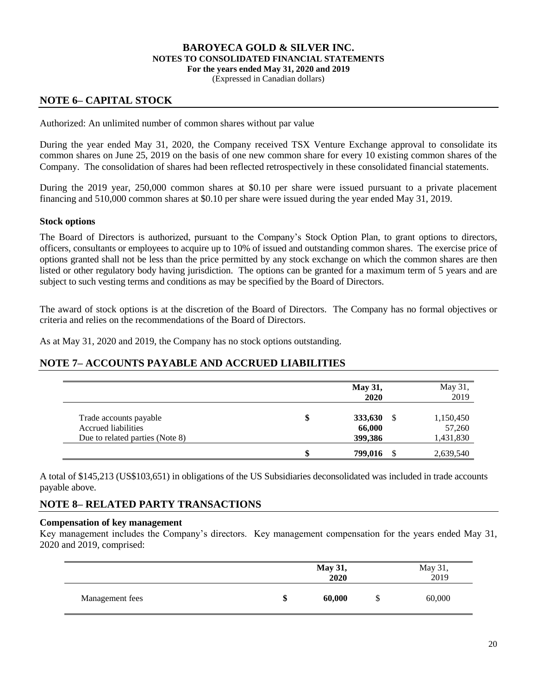(Expressed in Canadian dollars)

### **NOTE 6– CAPITAL STOCK**

Authorized: An unlimited number of common shares without par value

During the year ended May 31, 2020, the Company received TSX Venture Exchange approval to consolidate its common shares on June 25, 2019 on the basis of one new common share for every 10 existing common shares of the Company. The consolidation of shares had been reflected retrospectively in these consolidated financial statements.

During the 2019 year, 250,000 common shares at \$0.10 per share were issued pursuant to a private placement financing and 510,000 common shares at \$0.10 per share were issued during the year ended May 31, 2019.

#### **Stock options**

The Board of Directors is authorized, pursuant to the Company's Stock Option Plan, to grant options to directors, officers, consultants or employees to acquire up to 10% of issued and outstanding common shares. The exercise price of options granted shall not be less than the price permitted by any stock exchange on which the common shares are then listed or other regulatory body having jurisdiction. The options can be granted for a maximum term of 5 years and are subject to such vesting terms and conditions as may be specified by the Board of Directors.

The award of stock options is at the discretion of the Board of Directors. The Company has no formal objectives or criteria and relies on the recommendations of the Board of Directors.

As at May 31, 2020 and 2019, the Company has no stock options outstanding.

### **NOTE 7– ACCOUNTS PAYABLE AND ACCRUED LIABILITIES**

|                                 | <b>May 31,</b><br>2020 | May 31,<br>2019 |
|---------------------------------|------------------------|-----------------|
| Trade accounts payable          | \$<br>333,630<br>S     | 1,150,450       |
| Accrued liabilities             | 66,000                 | 57,260          |
| Due to related parties (Note 8) | 399,386                | 1,431,830       |
|                                 | 799,016                | 2,639,540       |

A total of \$145,213 (US\$103,651) in obligations of the US Subsidiaries deconsolidated was included in trade accounts payable above.

### **NOTE 8– RELATED PARTY TRANSACTIONS**

#### **Compensation of key management**

Key management includes the Company's directors. Key management compensation for the years ended May 31, 2020 and 2019, comprised:

|                 | May 31,<br>2020 |   | May 31,<br>2019 |
|-----------------|-----------------|---|-----------------|
| Management fees | \$<br>60,000    | D | 60,000          |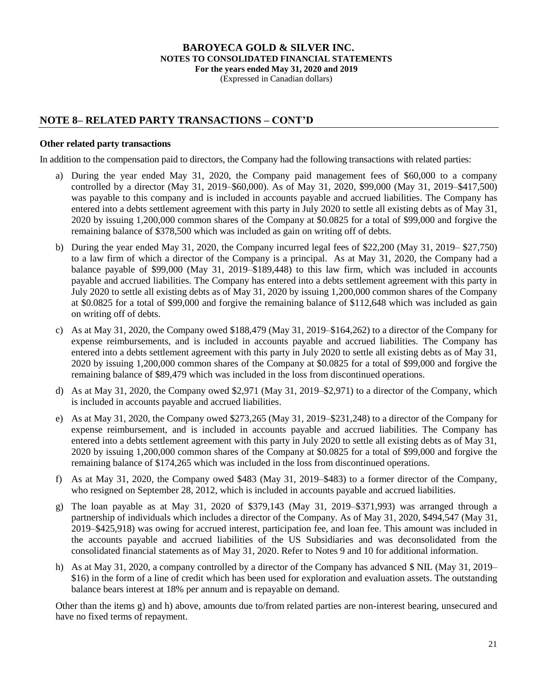(Expressed in Canadian dollars)

### **NOTE 8– RELATED PARTY TRANSACTIONS – CONT'D**

#### **Other related party transactions**

In addition to the compensation paid to directors, the Company had the following transactions with related parties:

- a) During the year ended May 31, 2020, the Company paid management fees of \$60,000 to a company controlled by a director (May 31, 2019–\$60,000). As of May 31, 2020, \$99,000 (May 31, 2019–\$417,500) was payable to this company and is included in accounts payable and accrued liabilities. The Company has entered into a debts settlement agreement with this party in July 2020 to settle all existing debts as of May 31, 2020 by issuing 1,200,000 common shares of the Company at \$0.0825 for a total of \$99,000 and forgive the remaining balance of \$378,500 which was included as gain on writing off of debts.
- b) During the year ended May 31, 2020, the Company incurred legal fees of \$22,200 (May 31, 2019– \$27,750) to a law firm of which a director of the Company is a principal. As at May 31, 2020, the Company had a balance payable of \$99,000 (May 31, 2019–\$189,448) to this law firm, which was included in accounts payable and accrued liabilities. The Company has entered into a debts settlement agreement with this party in July 2020 to settle all existing debts as of May 31, 2020 by issuing 1,200,000 common shares of the Company at \$0.0825 for a total of \$99,000 and forgive the remaining balance of \$112,648 which was included as gain on writing off of debts.
- c) As at May 31, 2020, the Company owed \$188,479 (May 31, 2019–\$164,262) to a director of the Company for expense reimbursements, and is included in accounts payable and accrued liabilities. The Company has entered into a debts settlement agreement with this party in July 2020 to settle all existing debts as of May 31, 2020 by issuing 1,200,000 common shares of the Company at \$0.0825 for a total of \$99,000 and forgive the remaining balance of \$89,479 which was included in the loss from discontinued operations.
- d) As at May 31, 2020, the Company owed \$2,971 (May 31, 2019–\$2,971) to a director of the Company, which is included in accounts payable and accrued liabilities.
- e) As at May 31, 2020, the Company owed \$273,265 (May 31, 2019–\$231,248) to a director of the Company for expense reimbursement, and is included in accounts payable and accrued liabilities. The Company has entered into a debts settlement agreement with this party in July 2020 to settle all existing debts as of May 31, 2020 by issuing 1,200,000 common shares of the Company at \$0.0825 for a total of \$99,000 and forgive the remaining balance of \$174,265 which was included in the loss from discontinued operations.
- f) As at May 31, 2020, the Company owed \$483 (May 31, 2019–\$483) to a former director of the Company, who resigned on September 28, 2012, which is included in accounts payable and accrued liabilities.
- g) The loan payable as at May 31, 2020 of \$379,143 (May 31, 2019–\$371,993) was arranged through a partnership of individuals which includes a director of the Company. As of May 31, 2020, \$494,547 (May 31, 2019–\$425,918) was owing for accrued interest, participation fee, and loan fee. This amount was included in the accounts payable and accrued liabilities of the US Subsidiaries and was deconsolidated from the consolidated financial statements as of May 31, 2020. Refer to Notes 9 and 10 for additional information.
- h) As at May 31, 2020, a company controlled by a director of the Company has advanced \$ NIL (May 31, 2019– \$16) in the form of a line of credit which has been used for exploration and evaluation assets. The outstanding balance bears interest at 18% per annum and is repayable on demand.

Other than the items g) and h) above, amounts due to/from related parties are non-interest bearing, unsecured and have no fixed terms of repayment.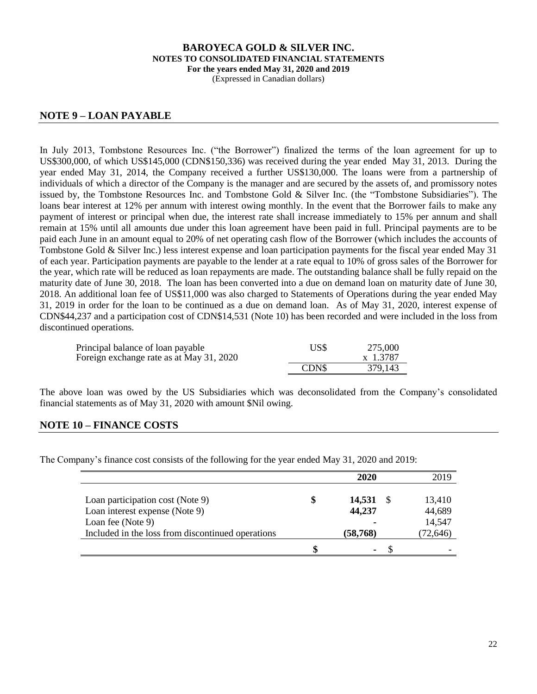(Expressed in Canadian dollars)

### **NOTE 9 – LOAN PAYABLE**

In July 2013, Tombstone Resources Inc. ("the Borrower") finalized the terms of the loan agreement for up to US\$300,000, of which US\$145,000 (CDN\$150,336) was received during the year ended May 31, 2013. During the year ended May 31, 2014, the Company received a further US\$130,000. The loans were from a partnership of individuals of which a director of the Company is the manager and are secured by the assets of, and promissory notes issued by, the Tombstone Resources Inc. and Tombstone Gold & Silver Inc. (the "Tombstone Subsidiaries"). The loans bear interest at 12% per annum with interest owing monthly. In the event that the Borrower fails to make any payment of interest or principal when due, the interest rate shall increase immediately to 15% per annum and shall remain at 15% until all amounts due under this loan agreement have been paid in full. Principal payments are to be paid each June in an amount equal to 20% of net operating cash flow of the Borrower (which includes the accounts of Tombstone Gold & Silver Inc.) less interest expense and loan participation payments for the fiscal year ended May 31 of each year. Participation payments are payable to the lender at a rate equal to 10% of gross sales of the Borrower for the year, which rate will be reduced as loan repayments are made. The outstanding balance shall be fully repaid on the maturity date of June 30, 2018. The loan has been converted into a due on demand loan on maturity date of June 30, 2018. An additional loan fee of US\$11,000 was also charged to Statements of Operations during the year ended May 31, 2019 in order for the loan to be continued as a due on demand loan. As of May 31, 2020, interest expense of CDN\$44,237 and a participation cost of CDN\$14,531 (Note 10) has been recorded and were included in the loss from discontinued operations.

| Principal balance of loan payable        | US\$  | 275,000  |
|------------------------------------------|-------|----------|
| Foreign exchange rate as at May 31, 2020 |       | x 1.3787 |
|                                          | CDN\$ | 379,143  |

The above loan was owed by the US Subsidiaries which was deconsolidated from the Company's consolidated financial statements as of May 31, 2020 with amount \$Nil owing.

### **NOTE 10 – FINANCE COSTS**

The Company's finance cost consists of the following for the year ended May 31, 2020 and 2019:

|                                                   |   | 2020           | 2019      |
|---------------------------------------------------|---|----------------|-----------|
|                                                   |   |                |           |
| Loan participation cost (Note 9)                  | S | 14,531         | 13,410    |
| Loan interest expense (Note 9)                    |   | 44,237         | 44,689    |
| Loan fee (Note 9)                                 |   |                | 14,547    |
| Included in the loss from discontinued operations |   | (58, 768)      | (72, 646) |
|                                                   |   | $\blacksquare$ |           |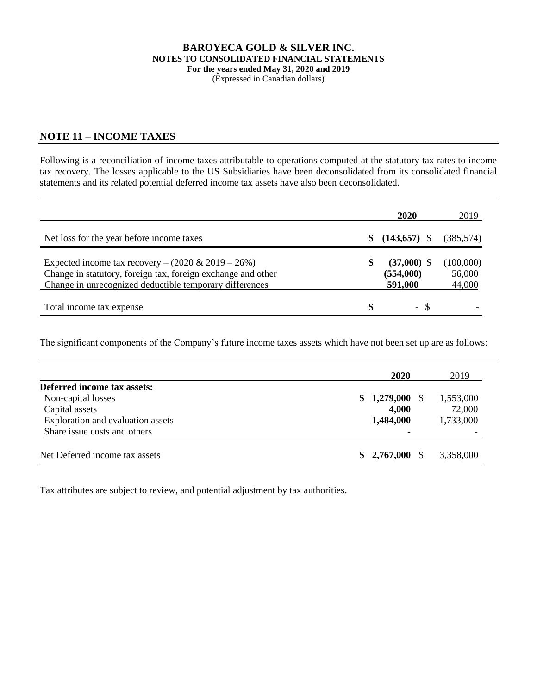#### **BAROYECA GOLD & SILVER INC. NOTES TO CONSOLIDATED FINANCIAL STATEMENTS For the years ended May 31, 2020 and 2019** (Expressed in Canadian dollars)

### **NOTE 11 – INCOME TAXES**

Following is a reconciliation of income taxes attributable to operations computed at the statutory tax rates to income tax recovery. The losses applicable to the US Subsidiaries have been deconsolidated from its consolidated financial statements and its related potential deferred income tax assets have also been deconsolidated.

|                                                                                                                                                                                   | 2020                                        | 2019                          |
|-----------------------------------------------------------------------------------------------------------------------------------------------------------------------------------|---------------------------------------------|-------------------------------|
| Net loss for the year before income taxes                                                                                                                                         | \$<br>$(143,657)$ \$                        | (385, 574)                    |
| Expected income tax recovery – $(2020 \& 2019 - 26\%)$<br>Change in statutory, foreign tax, foreign exchange and other<br>Change in unrecognized deductible temporary differences | \$<br>$(37,000)$ \$<br>(554,000)<br>591,000 | (100,000)<br>56,000<br>44,000 |
| Total income tax expense                                                                                                                                                          | \$<br>- \$                                  |                               |

The significant components of the Company's future income taxes assets which have not been set up are as follows:

|                                   | 2020            | 2019      |
|-----------------------------------|-----------------|-----------|
| Deferred income tax assets:       |                 |           |
| Non-capital losses                | $$1,279,000$ \, | 1,553,000 |
| Capital assets                    | 4,000           | 72,000    |
| Exploration and evaluation assets | 1,484,000       | 1,733,000 |
| Share issue costs and others      |                 |           |
| Net Deferred income tax assets    | $$2,767,000$ \, | 3,358,000 |

Tax attributes are subject to review, and potential adjustment by tax authorities.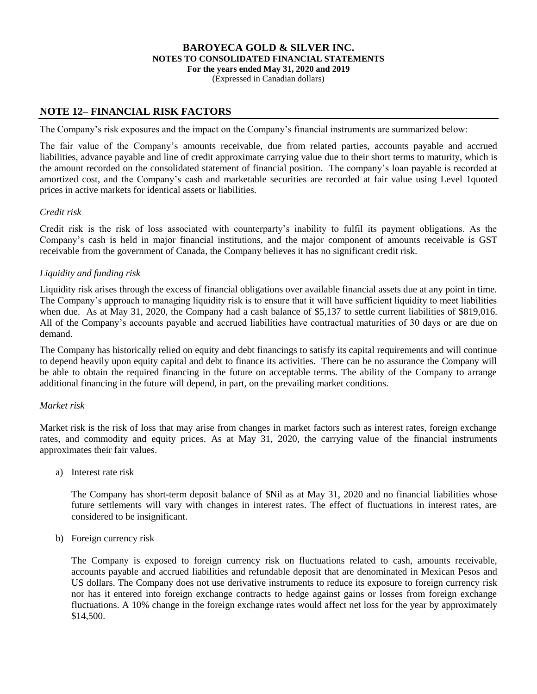(Expressed in Canadian dollars)

### **NOTE 12– FINANCIAL RISK FACTORS**

The Company's risk exposures and the impact on the Company's financial instruments are summarized below:

The fair value of the Company's amounts receivable, due from related parties, accounts payable and accrued liabilities, advance payable and line of credit approximate carrying value due to their short terms to maturity, which is the amount recorded on the consolidated statement of financial position. The company's loan payable is recorded at amortized cost, and the Company's cash and marketable securities are recorded at fair value using Level 1quoted prices in active markets for identical assets or liabilities.

#### *Credit risk*

Credit risk is the risk of loss associated with counterparty's inability to fulfil its payment obligations. As the Company's cash is held in major financial institutions, and the major component of amounts receivable is GST receivable from the government of Canada, the Company believes it has no significant credit risk.

### *Liquidity and funding risk*

Liquidity risk arises through the excess of financial obligations over available financial assets due at any point in time. The Company's approach to managing liquidity risk is to ensure that it will have sufficient liquidity to meet liabilities when due. As at May 31, 2020, the Company had a cash balance of \$5,137 to settle current liabilities of \$819,016. All of the Company's accounts payable and accrued liabilities have contractual maturities of 30 days or are due on demand.

The Company has historically relied on equity and debt financings to satisfy its capital requirements and will continue to depend heavily upon equity capital and debt to finance its activities. There can be no assurance the Company will be able to obtain the required financing in the future on acceptable terms. The ability of the Company to arrange additional financing in the future will depend, in part, on the prevailing market conditions.

### *Market risk*

Market risk is the risk of loss that may arise from changes in market factors such as interest rates, foreign exchange rates, and commodity and equity prices. As at May 31, 2020, the carrying value of the financial instruments approximates their fair values.

a) Interest rate risk

The Company has short-term deposit balance of \$Nil as at May 31, 2020 and no financial liabilities whose future settlements will vary with changes in interest rates. The effect of fluctuations in interest rates, are considered to be insignificant.

b) Foreign currency risk

The Company is exposed to foreign currency risk on fluctuations related to cash, amounts receivable, accounts payable and accrued liabilities and refundable deposit that are denominated in Mexican Pesos and US dollars. The Company does not use derivative instruments to reduce its exposure to foreign currency risk nor has it entered into foreign exchange contracts to hedge against gains or losses from foreign exchange fluctuations. A 10% change in the foreign exchange rates would affect net loss for the year by approximately \$14,500.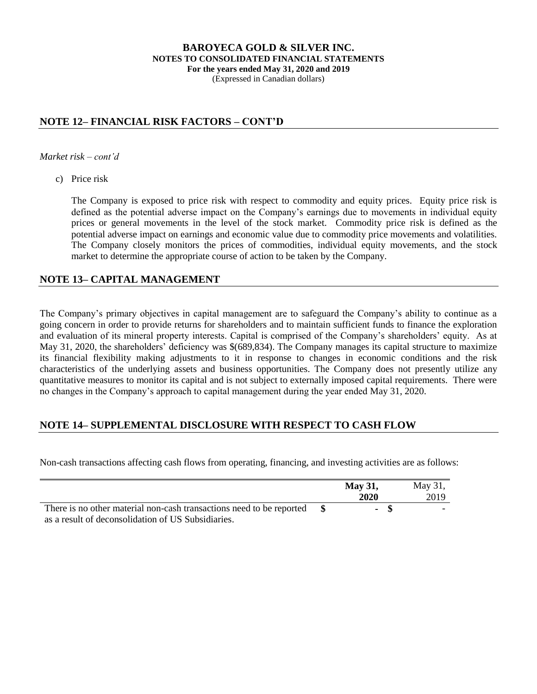#### **BAROYECA GOLD & SILVER INC. NOTES TO CONSOLIDATED FINANCIAL STATEMENTS For the years ended May 31, 2020 and 2019** (Expressed in Canadian dollars)

## **NOTE 12– FINANCIAL RISK FACTORS – CONT'D**

*Market risk – cont'd*

c) Price risk

The Company is exposed to price risk with respect to commodity and equity prices. Equity price risk is defined as the potential adverse impact on the Company's earnings due to movements in individual equity prices or general movements in the level of the stock market. Commodity price risk is defined as the potential adverse impact on earnings and economic value due to commodity price movements and volatilities. The Company closely monitors the prices of commodities, individual equity movements, and the stock market to determine the appropriate course of action to be taken by the Company.

### **NOTE 13– CAPITAL MANAGEMENT**

The Company's primary objectives in capital management are to safeguard the Company's ability to continue as a going concern in order to provide returns for shareholders and to maintain sufficient funds to finance the exploration and evaluation of its mineral property interests. Capital is comprised of the Company's shareholders' equity. As at May 31, 2020, the shareholders' deficiency was \$(689,834). The Company manages its capital structure to maximize its financial flexibility making adjustments to it in response to changes in economic conditions and the risk characteristics of the underlying assets and business opportunities. The Company does not presently utilize any quantitative measures to monitor its capital and is not subject to externally imposed capital requirements. There were no changes in the Company's approach to capital management during the year ended May 31, 2020.

### **NOTE 14– SUPPLEMENTAL DISCLOSURE WITH RESPECT TO CASH FLOW**

Non-cash transactions affecting cash flows from operating, financing, and investing activities are as follows:

|                                                                      | <b>May 31,</b><br>2020 | May 31,<br>2019          |
|----------------------------------------------------------------------|------------------------|--------------------------|
| There is no other material non-cash transactions need to be reported | - 86<br>$\sim$         | $\overline{\phantom{0}}$ |
| as a result of deconsolidation of US Subsidiaries.                   |                        |                          |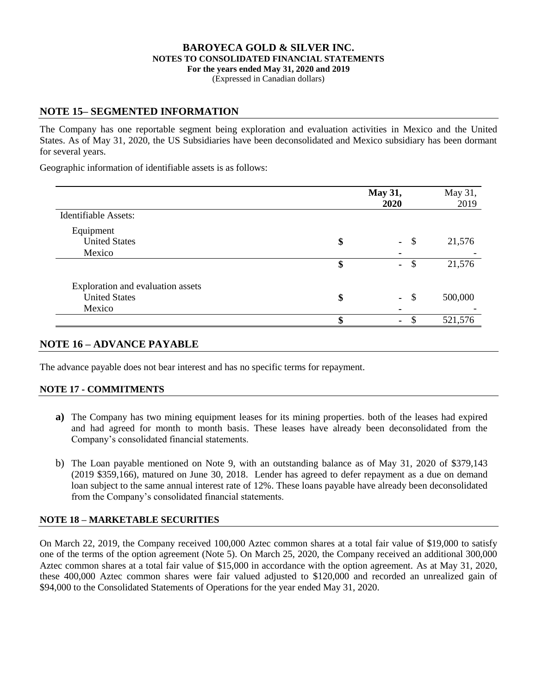(Expressed in Canadian dollars)

## **NOTE 15– SEGMENTED INFORMATION**

The Company has one reportable segment being exploration and evaluation activities in Mexico and the United States. As of May 31, 2020, the US Subsidiaries have been deconsolidated and Mexico subsidiary has been dormant for several years.

Geographic information of identifiable assets is as follows:

|                                   | <b>May 31,</b><br>2020 |                                 | May 31,<br>2019 |  |
|-----------------------------------|------------------------|---------------------------------|-----------------|--|
| <b>Identifiable Assets:</b>       |                        |                                 |                 |  |
| Equipment                         |                        |                                 |                 |  |
| <b>United States</b>              | \$                     | -\$<br>$\sim$                   | 21,576          |  |
| Mexico                            |                        |                                 |                 |  |
|                                   | \$                     | $\mathcal{S}$<br>$\blacksquare$ | 21,576          |  |
| Exploration and evaluation assets |                        |                                 |                 |  |
| <b>United States</b>              | \$                     | \$<br>$\sim$                    | 500,000         |  |
| Mexico                            |                        |                                 |                 |  |
|                                   | ¢                      | ۰                               | 521,576         |  |

### **NOTE 16 – ADVANCE PAYABLE**

The advance payable does not bear interest and has no specific terms for repayment.

### **NOTE 17 - COMMITMENTS**

- **a**) The Company has two mining equipment leases for its mining properties. both of the leases had expired and had agreed for month to month basis. These leases have already been deconsolidated from the Company's consolidated financial statements.
- b) The Loan payable mentioned on Note 9, with an outstanding balance as of May 31, 2020 of \$379,143 (2019 \$359,166), matured on June 30, 2018. Lender has agreed to defer repayment as a due on demand loan subject to the same annual interest rate of 12%. These loans payable have already been deconsolidated from the Company's consolidated financial statements.

### **NOTE 18 – MARKETABLE SECURITIES**

On March 22, 2019, the Company received 100,000 Aztec common shares at a total fair value of \$19,000 to satisfy one of the terms of the option agreement (Note 5). On March 25, 2020, the Company received an additional 300,000 Aztec common shares at a total fair value of \$15,000 in accordance with the option agreement. As at May 31, 2020, these 400,000 Aztec common shares were fair valued adjusted to \$120,000 and recorded an unrealized gain of \$94,000 to the Consolidated Statements of Operations for the year ended May 31, 2020.